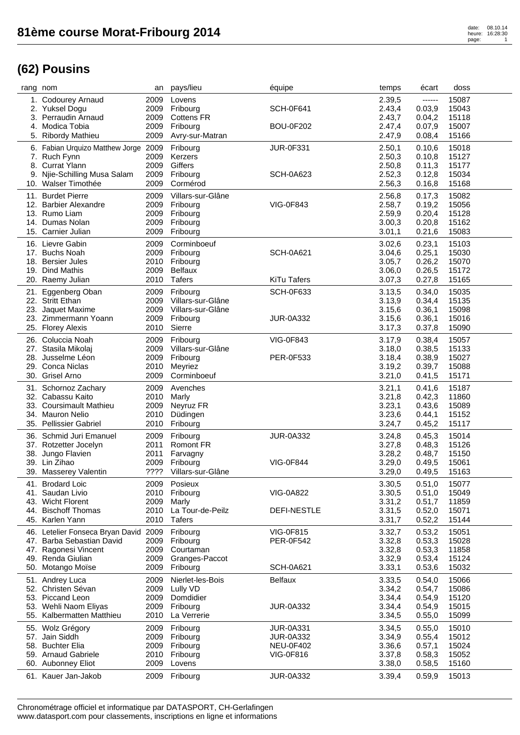| rang nom |                                       | an   | pays/lieu                     | équipe             | temps  | écart   | doss  |
|----------|---------------------------------------|------|-------------------------------|--------------------|--------|---------|-------|
|          | 1. Codourey Arnaud                    | 2009 | Lovens                        |                    | 2.39,5 | ------  | 15087 |
|          | 2. Yuksel Dogu                        | 2009 | Fribourg                      | <b>SCH-0F641</b>   | 2.43,4 | 0.03,9  | 15043 |
|          | 3. Perraudin Arnaud                   | 2009 | <b>Cottens FR</b>             |                    | 2.43,7 | 0.04,2  | 15118 |
|          | 4. Modica Tobia                       | 2009 | Fribourg                      | <b>BOU-0F202</b>   | 2.47,4 | 0.07,9  | 15007 |
|          | 5. Ribordy Mathieu                    | 2009 | Avry-sur-Matran               |                    | 2.47,9 | 0.08,4  | 15166 |
|          |                                       |      |                               |                    |        |         |       |
|          | 6. Fabian Urquizo Matthew Jorge 2009  |      | Fribourg                      | <b>JUR-0F331</b>   | 2.50,1 | 0.10,6  | 15018 |
|          | 7. Ruch Fynn                          | 2009 | Kerzers                       |                    | 2.50,3 | 0.10,8  | 15127 |
|          | 8. Currat Ylann                       | 2009 | Giffers                       |                    | 2.50,8 | 0.11,3  | 15177 |
|          | 9. Njie-Schilling Musa Salam          | 2009 | Fribourg                      | <b>SCH-0A623</b>   | 2.52,3 | 0.12,8  | 15034 |
|          | 10. Walser Timothée                   | 2009 | Cormérod                      |                    | 2.56,3 | 0.16,8  | 15168 |
|          | 11. Burdet Pierre                     | 2009 | Villars-sur-Glâne             |                    | 2.56,8 | 0.17,3  | 15082 |
|          | 12. Barbier Alexandre                 | 2009 | Fribourg                      | <b>VIG-0F843</b>   | 2.58,7 | 0.19,2  | 15056 |
|          | 13. Rumo Liam                         | 2009 | Fribourg                      |                    | 2.59,9 | 0.20,4  | 15128 |
|          | 14. Dumas Nolan                       | 2009 | Fribourg                      |                    | 3.00,3 | 0.20, 8 | 15162 |
|          | 15. Carnier Julian                    | 2009 | Fribourg                      |                    | 3.01,1 | 0.21, 6 | 15083 |
|          |                                       |      |                               |                    |        |         |       |
|          | 16. Lievre Gabin                      | 2009 | Corminboeuf                   |                    | 3.02,6 | 0.23,1  | 15103 |
|          | 17. Buchs Noah                        | 2009 | Fribourg                      | <b>SCH-0A621</b>   | 3.04,6 | 0.25,1  | 15030 |
|          | 18. Bersier Jules                     | 2010 | Fribourg                      |                    | 3.05,7 | 0.26,2  | 15070 |
|          | 19. Dind Mathis                       | 2009 | <b>Belfaux</b>                |                    | 3.06,0 | 0.26,5  | 15172 |
|          | 20. Raemy Julian                      | 2010 | Tafers                        | <b>KiTu Tafers</b> | 3.07,3 | 0.27,8  | 15165 |
| 21.      | Eggenberg Oban                        | 2009 | Fribourg                      | <b>SCH-0F633</b>   | 3.13,5 | 0.34,0  | 15035 |
|          | 22. Stritt Ethan                      | 2009 | Villars-sur-Glâne             |                    | 3.13,9 | 0.34,4  | 15135 |
|          | 23. Jaquet Maxime                     | 2009 | Villars-sur-Glâne             |                    | 3.15,6 | 0.36,1  | 15098 |
|          | 23. Zimmermann Yoann                  | 2009 | Fribourg                      | <b>JUR-0A332</b>   | 3.15,6 | 0.36,1  | 15016 |
|          | 25. Florey Alexis                     | 2010 | Sierre                        |                    | 3.17,3 | 0.37,8  | 15090 |
|          | 26. Coluccia Noah                     | 2009 |                               | VIG-0F843          | 3.17,9 | 0.38,4  | 15057 |
|          |                                       | 2009 | Fribourg<br>Villars-sur-Glâne |                    |        | 0.38,5  | 15133 |
|          | 27. Stasila Mikolaj                   |      |                               |                    | 3.18,0 |         |       |
|          | 28. Jusselme Léon                     | 2009 | Fribourg                      | PER-0F533          | 3.18,4 | 0.38,9  | 15027 |
|          | 29. Conca Niclas                      | 2010 | Meyriez                       |                    | 3.19,2 | 0.39,7  | 15088 |
|          | 30. Grisel Arno                       | 2009 | Corminboeuf                   |                    | 3.21,0 | 0.41,5  | 15171 |
|          | 31. Schornoz Zachary                  | 2009 | Avenches                      |                    | 3.21,1 | 0.41, 6 | 15187 |
|          | 32. Cabassu Kaito                     | 2010 | Marly                         |                    | 3.21,8 | 0.42,3  | 11860 |
|          | 33. Coursimault Mathieu               | 2009 | Neyruz FR                     |                    | 3.23,1 | 0.43,6  | 15089 |
|          | 34. Mauron Nelio                      | 2010 | Düdingen                      |                    | 3.23,6 | 0.44,1  | 15152 |
|          | 35. Pellissier Gabriel                | 2010 | Fribourg                      |                    | 3.24,7 | 0.45,2  | 15117 |
|          | 36. Schmid Juri Emanuel               | 2009 | Fribourg                      | <b>JUR-0A332</b>   | 3.24,8 | 0.45,3  | 15014 |
|          | 37. Rotzetter Jocelyn                 | 2011 | Romont FR                     |                    | 3.27,8 | 0.48,3  | 15126 |
|          | 38. Jungo Flavien                     | 2011 | Farvagny                      |                    | 3.28,2 | 0.48,7  | 15150 |
|          | 39. Lin Zihao                         | 2009 | Fribourg                      | <b>VIG-0F844</b>   | 3.29,0 | 0.49,5  | 15061 |
|          | 39. Masserey Valentin                 | ???? | Villars-sur-Glâne             |                    | 3.29,0 | 0.49,5  | 15163 |
|          |                                       |      |                               |                    |        |         |       |
|          | 41. Brodard Loic                      | 2009 | Posieux                       |                    | 3.30,5 | 0.51,0  | 15077 |
|          | 41. Saudan Livio                      | 2010 | Fribourg                      | <b>VIG-0A822</b>   | 3.30,5 | 0.51,0  | 15049 |
|          | 43. Wicht Florent                     | 2009 | Marly                         |                    | 3.31,2 | 0.51,7  | 11859 |
|          | 44. Bischoff Thomas                   | 2010 | La Tour-de-Peilz              | DEFI-NESTLE        | 3.31,5 | 0.52,0  | 15071 |
|          | 45. Karlen Yann                       | 2010 | <b>Tafers</b>                 |                    | 3.31,7 | 0.52,2  | 15144 |
|          | 46. Letelier Fonseca Bryan David 2009 |      | Fribourg                      | <b>VIG-0F815</b>   | 3.32,7 | 0.53,2  | 15051 |
|          | 47. Barba Sebastian David             | 2009 | Fribourg                      | PER-0F542          | 3.32,8 | 0.53,3  | 15028 |
|          | 47. Ragonesi Vincent                  | 2009 | Courtaman                     |                    | 3.32,8 | 0.53,3  | 11858 |
|          | 49. Renda Giulian                     | 2009 | Granges-Paccot                |                    | 3.32,9 | 0.53,4  | 15124 |
|          | 50. Motango Moïse                     | 2009 | Fribourg                      | <b>SCH-0A621</b>   | 3.33,1 | 0.53, 6 | 15032 |
|          | 51. Andrey Luca                       | 2009 | Nierlet-les-Bois              | <b>Belfaux</b>     | 3.33,5 | 0.54,0  | 15066 |
|          | 52. Christen Sévan                    | 2009 | Lully VD                      |                    | 3.34,2 | 0.54,7  | 15086 |
|          | 53. Piccand Leon                      | 2009 | Domdidier                     |                    | 3.34,4 | 0.54,9  | 15120 |
|          | 53. Wehli Naom Eliyas                 | 2009 | Fribourg                      | <b>JUR-0A332</b>   | 3.34,4 | 0.54,9  | 15015 |
|          | 55. Kalbermatten Matthieu             | 2010 | La Verrerie                   |                    | 3.34,5 | 0.55,0  | 15099 |
|          |                                       |      |                               |                    |        |         |       |
|          | 55. Wolz Grégory                      | 2009 | Fribourg                      | <b>JUR-0A331</b>   | 3.34,5 | 0.55,0  | 15010 |
|          | 57. Jain Siddh                        | 2009 | Fribourg                      | <b>JUR-0A332</b>   | 3.34,9 | 0.55,4  | 15012 |
|          | 58. Buchter Elia                      | 2009 | Fribourg                      | <b>NEU-0F402</b>   | 3.36,6 | 0.57,1  | 15024 |
|          | 59. Arnaud Gabriele                   | 2010 | Fribourg                      | VIG-0F816          | 3.37,8 | 0.58,3  | 15052 |
|          | 60. Aubonney Eliot                    | 2009 | Lovens                        |                    | 3.38,0 | 0.58,5  | 15160 |
|          | 61. Kauer Jan-Jakob                   | 2009 | Fribourg                      | <b>JUR-0A332</b>   | 3.39,4 | 0.59,9  | 15013 |
|          |                                       |      |                               |                    |        |         |       |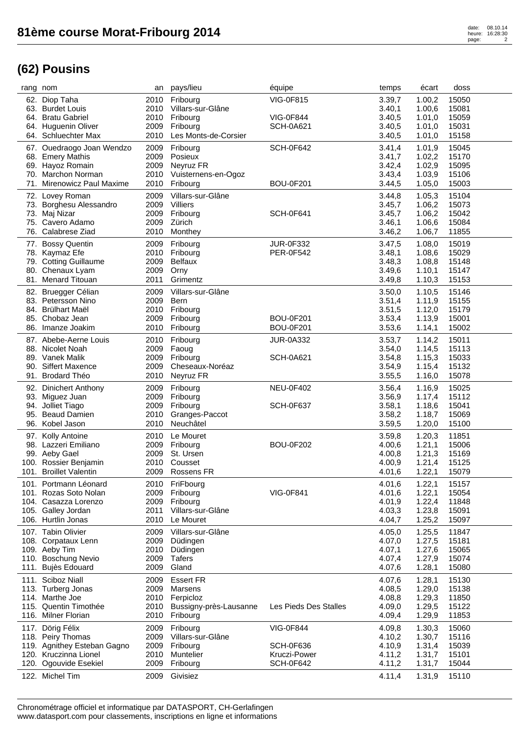| rang nom |                                                 | an           | pays/lieu                    | équipe                | temps            | écart            | doss           |
|----------|-------------------------------------------------|--------------|------------------------------|-----------------------|------------------|------------------|----------------|
|          | 62. Diop Taha                                   |              | 2010 Fribourg                | <b>VIG-0F815</b>      | 3.39,7           | 1.00,2           | 15050          |
|          | 63. Burdet Louis                                | 2010         | Villars-sur-Glâne            |                       | 3.40,1           | 1.00,6           | 15081          |
|          | 64. Bratu Gabriel                               | 2010         | Fribourg                     | <b>VIG-0F844</b>      | 3.40,5           | 1.01,0           | 15059          |
|          | 64. Huguenin Oliver                             | 2009         | Fribourg                     | <b>SCH-0A621</b>      | 3.40,5           | 1.01,0           | 15031          |
|          | 64. Schluechter Max                             | 2010         | Les Monts-de-Corsier         |                       | 3.40,5           | 1.01,0           | 15158          |
|          | 67. Ouedraogo Joan Wendzo                       | 2009         | Fribourg                     | <b>SCH-0F642</b>      | 3.41,4           | 1.01,9           | 15045          |
|          | 68. Emery Mathis                                | 2009         | Posieux                      |                       | 3.41,7           | 1.02,2           | 15170          |
|          | 69. Hayoz Romain                                | 2009         | Neyruz FR                    |                       | 3.42,4           | 1.02,9           | 15095          |
| 70.      | <b>Marchon Norman</b>                           | 2010         | Vuisternens-en-Ogoz          |                       | 3.43,4           | 1.03,9           | 15106          |
|          | 71. Mirenowicz Paul Maxime                      | 2010         | Fribourg                     | <b>BOU-0F201</b>      | 3.44,5           | 1.05,0           | 15003          |
|          | 72. Lovey Roman                                 | 2009         | Villars-sur-Glâne            |                       | 3.44,8           | 1.05,3           | 15104          |
|          | 73. Borghesu Alessandro                         | 2009         | Villiers                     |                       | 3.45,7           | 1.06,2           | 15073          |
|          | 73. Maj Nizar                                   | 2009         | Fribourg                     | <b>SCH-0F641</b>      | 3.45,7           | 1.06,2           | 15042          |
|          | 75. Cavero Adamo                                | 2009         | Zürich                       |                       | 3.46,1           | 1.06,6           | 15084          |
|          | 76. Calabrese Ziad                              | 2010         | Monthey                      |                       | 3.46,2           | 1.06,7           | 11855          |
|          | 77. Bossy Quentin                               | 2009         | Fribourg                     | <b>JUR-0F332</b>      | 3.47,5           | 1.08,0           | 15019          |
|          | 78. Kaymaz Efe                                  | 2010         | Fribourg                     | <b>PER-0F542</b>      | 3.48,1           | 1.08,6           | 15029          |
|          | 79. Cotting Guillaume                           | 2009         | Belfaux                      |                       | 3.48,3           | 1.08,8           | 15148          |
|          | 80. Chenaux Lyam                                | 2009         | Orny                         |                       | 3.49,6           | 1.10,1           | 15147          |
|          | 81. Menard Titouan                              | 2011         | Grimentz                     |                       | 3.49,8           | 1.10,3           | 15153          |
| 82.      | Bruegger Célian                                 | 2009         | Villars-sur-Glâne            |                       | 3.50,0           | 1.10,5           | 15146          |
|          | 83. Petersson Nino                              | 2009         | Bern                         |                       | 3.51,4           | 1.11,9           | 15155          |
|          | 84. Brülhart Maël                               |              | 2010 Fribourg                |                       | 3.51,5           | 1.12,0           | 15179          |
| 85.      | Chobaz Jean                                     | 2009         | Fribourg                     | <b>BOU-0F201</b>      | 3.53,4           | 1.13,9           | 15001          |
| 86.      | Imanze Joakim                                   | 2010         | Fribourg                     | <b>BOU-0F201</b>      | 3.53,6           | 1.14,1           | 15002          |
|          | 87. Abebe-Aerne Louis                           |              |                              | <b>JUR-0A332</b>      | 3.53,7           | 1.14,2           | 15011          |
|          | 88. Nicolet Noah                                | 2010<br>2009 | Fribourg<br>Faoug            |                       | 3.54,0           | 1.14,5           | 15113          |
|          | 89. Vanek Malik                                 | 2009         | Fribourg                     | <b>SCH-0A621</b>      | 3.54,8           | 1.15,3           | 15033          |
| 90.      | <b>Siffert Maxence</b>                          | 2009         | Cheseaux-Noréaz              |                       | 3.54,9           | 1.15,4           | 15132          |
|          | 91. Brodard Théo                                | 2010         | Neyruz FR                    |                       | 3.55,5           | 1.16,0           | 15078          |
|          |                                                 |              |                              |                       |                  |                  |                |
|          | 92. Dinichert Anthony                           | 2009         | Fribourg                     | <b>NEU-0F402</b>      | 3.56,4           | 1.16,9           | 15025          |
|          | 93. Miguez Juan                                 | 2009         | Fribourg                     |                       | 3.56,9           | 1.17,4           | 15112          |
| 94.      | Jolliet Tiago                                   | 2009         | Fribourg                     | <b>SCH-0F637</b>      | 3.58,1           | 1.18,6           | 15041          |
| 95.      | <b>Beaud Damien</b><br>96. Kobel Jason          | 2010<br>2010 | Granges-Paccot<br>Neuchâtel  |                       | 3.58,2<br>3.59,5 | 1.18,7<br>1.20,0 | 15069<br>15100 |
|          |                                                 |              |                              |                       |                  |                  |                |
|          | 97. Kolly Antoine                               | 2010         | Le Mouret                    |                       | 3.59,8           | 1.20,3           | 11851          |
|          | 98. Lazzeri Emiliano                            | 2009         | Fribourg                     | <b>BOU-0F202</b>      | 4.00,6           | 1.21,1           | 15006          |
|          | 99. Aeby Gael                                   | 2009         | St. Ursen                    |                       | 4.00,8           | 1.21,3           | 15169          |
|          | 100. Rossier Benjamin<br>101. Broillet Valentin | 2010<br>2009 | Cousset<br><b>Rossens FR</b> |                       | 4.00,9           | 1.21,4<br>1.22,1 | 15125          |
|          |                                                 |              |                              |                       | 4.01,6           |                  | 15079          |
|          | 101. Portmann Léonard                           | 2010         | FriFbourg                    |                       | 4.01,6           | 1.22,1           | 15157          |
|          | 101. Rozas Soto Nolan                           | 2009         | Fribourg                     | <b>VIG-0F841</b>      | 4.01,6           | 1.22,1           | 15054          |
|          | 104. Casazza Lorenzo                            | 2009         | Fribourg                     |                       | 4.01,9           | 1.22,4           | 11848          |
|          | 105. Galley Jordan                              | 2011         | Villars-sur-Glâne            |                       | 4.03,3           | 1.23,8           | 15091          |
|          | 106. Hurtlin Jonas                              | 2010         | Le Mouret                    |                       | 4.04,7           | 1.25,2           | 15097          |
|          | 107. Tabin Olivier                              | 2009         | Villars-sur-Glâne            |                       | 4.05,0           | 1.25,5           | 11847          |
|          | 108. Corpataux Lenn                             | 2009         | Düdingen                     |                       | 4.07,0           | 1.27,5           | 15181          |
|          | 109. Aeby Tim                                   | 2010         | Düdingen                     |                       | 4.07,1           | 1.27,6           | 15065          |
|          | 110. Boschung Nevio                             | 2009         | <b>Tafers</b>                |                       | 4.07,4           | 1.27,9           | 15074          |
|          | 111. Bujès Edouard                              | 2009         | Gland                        |                       | 4.07,6           | 1.28,1           | 15080          |
|          | 111. Sciboz Niall                               | 2009         | <b>Essert FR</b>             |                       | 4.07,6           | 1.28,1           | 15130          |
|          | 113. Turberg Jonas                              | 2009         | Marsens                      |                       | 4.08,5           | 1.29,0           | 15138          |
|          | 114. Marthe Joe                                 | 2010         | Ferpicloz                    |                       | 4.08,8           | 1.29,3           | 11850          |
|          | 115. Quentin Timothée                           | 2010         | Bussigny-près-Lausanne       | Les Pieds Des Stalles | 4.09,0           | 1.29,5           | 15122          |
|          | 116. Milner Florian                             | 2010         | Fribourg                     |                       | 4.09,4           | 1.29,9           | 11853          |
|          | 117. Dörig Félix                                | 2009         | Fribourg                     | <b>VIG-0F844</b>      | 4.09,8           | 1.30,3           | 15060          |
|          | 118. Peiry Thomas                               | 2009         | Villars-sur-Glâne            |                       | 4.10,2           | 1.30,7           | 15116          |
|          | 119. Agnithey Esteban Gagno                     | 2009         | Fribourg                     | <b>SCH-0F636</b>      | 4.10,9           | 1.31,4           | 15039          |
|          | 120. Kruczinna Lionel                           | 2010         | Muntelier                    | Kruczi-Power          | 4.11,2           | 1.31,7           | 15101          |
| 120.     | Ogouvide Esekiel                                | 2009         | Fribourg                     | <b>SCH-0F642</b>      | 4.11,2           | 1.31,7           | 15044          |
|          | 122. Michel Tim                                 | 2009         | Givisiez                     |                       | 4.11,4           | 1.31,9           | 15110          |
|          |                                                 |              |                              |                       |                  |                  |                |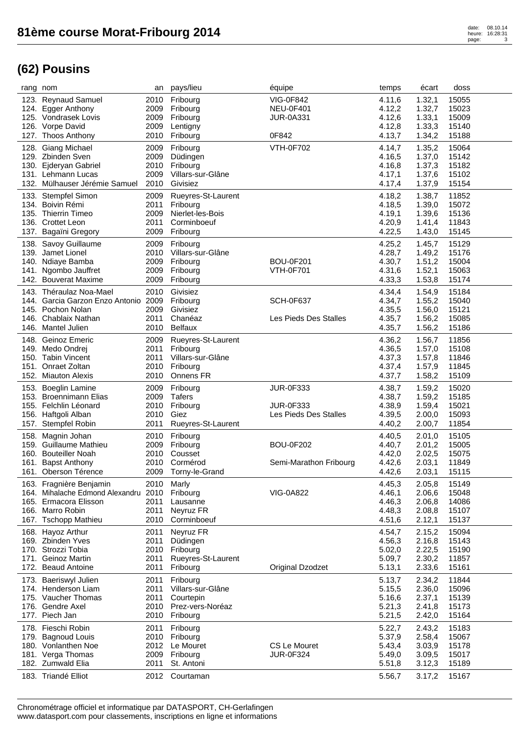|      | rang nom                                | an           | pays/lieu                    | équipe                 | temps            | écart            | doss           |
|------|-----------------------------------------|--------------|------------------------------|------------------------|------------------|------------------|----------------|
|      | 123. Reynaud Samuel                     | 2010         | Fribourg                     | <b>VIG-0F842</b>       | 4.11,6           | 1.32,1           | 15055          |
|      | 124. Egger Anthony                      | 2009         | Fribourg                     | <b>NEU-0F401</b>       | 4.12,2           | 1.32,7           | 15023          |
|      | 125. Vondrasek Lovis                    | 2009         | Fribourg                     | <b>JUR-0A331</b>       | 4.12,6           | 1.33,1           | 15009          |
|      | 126. Vorpe David                        | 2009         | Lentigny                     |                        | 4.12,8           | 1.33,3           | 15140          |
|      | 127. Thoos Anthony                      | 2010         | Fribourg                     | 0F842                  | 4.13,7           | 1.34,2           | 15188          |
|      | 128. Giang Michael                      | 2009         | Fribourg                     | <b>VTH-0F702</b>       | 4.14,7           | 1.35,2           | 15064          |
|      | 129. Zbinden Sven                       | 2009         | Düdingen                     |                        | 4.16,5           | 1.37,0           | 15142          |
|      | 130. Ejderyan Gabriel                   | 2010         | Fribourg                     |                        | 4.16,8           | 1.37,3           | 15182          |
|      | 131. Lehmann Lucas                      | 2009         | Villars-sur-Glâne            |                        | 4.17,1           | 1.37,6           | 15102          |
|      | 132. Mülhauser Jérémie Samuel           | 2010         | Givisiez                     |                        | 4.17,4           | 1.37,9           | 15154          |
|      |                                         |              |                              |                        |                  |                  |                |
|      | 133. Stempfel Simon<br>134. Boivin Rémi | 2009         | Rueyres-St-Laurent           |                        | 4.18,2           | 1.38,7           | 11852          |
|      | 135. Thierrin Timeo                     | 2011<br>2009 | Fribourg<br>Nierlet-les-Bois |                        | 4.18,5           | 1.39,0<br>1.39,6 | 15072          |
|      | 136. Crottet Leon                       | 2011         | Corminboeuf                  |                        | 4.19,1<br>4.20,9 | 1.41,4           | 15136<br>11843 |
|      | 137. Bagaïni Gregory                    | 2009         | Fribourg                     |                        | 4.22,5           | 1.43,0           | 15145          |
|      |                                         |              |                              |                        |                  |                  |                |
|      | 138. Savoy Guillaume                    | 2009         | Fribourg                     |                        | 4.25,2           | 1.45,7           | 15129          |
|      | 139. Jamet Lionel                       | 2010         | Villars-sur-Glâne            |                        | 4.28,7           | 1.49,2           | 15176          |
|      | 140. Ndiaye Bamba                       | 2009         | Fribourg                     | <b>BOU-0F201</b>       | 4.30,7           | 1.51,2           | 15004          |
|      | 141. Ngombo Jauffret                    | 2009         | Fribourg                     | <b>VTH-0F701</b>       | 4.31,6           | 1.52,1           | 15063          |
|      | 142. Bouverat Maxime                    | 2009         | Fribourg                     |                        | 4.33,3           | 1.53,8           | 15174          |
|      | 143. Théraulaz Noa-Mael                 | 2010         | Givisiez                     |                        | 4.34,4           | 1.54,9           | 15184          |
|      | 144. Garcia Garzon Enzo Antonio 2009    |              | Fribourg                     | <b>SCH-0F637</b>       | 4.34,7           | 1.55,2           | 15040          |
|      | 145. Pochon Nolan                       | 2009         | Givisiez                     |                        | 4.35,5           | 1.56,0           | 15121          |
|      | 146. Chablaix Nathan                    | 2011         | Chanéaz                      | Les Pieds Des Stalles  | 4.35,7           | 1.56,2           | 15085          |
|      | 146. Mantel Julien                      | 2010         | <b>Belfaux</b>               |                        | 4.35,7           | 1.56,2           | 15186          |
|      | 148. Geinoz Emeric                      | 2009         | Rueyres-St-Laurent           |                        | 4.36,2           | 1.56,7           | 11856          |
|      | 149. Medo Ondrej                        | 2011         | Fribourg                     |                        | 4.36,5           | 1.57,0           | 15108          |
|      | 150. Tabin Vincent                      | 2011         | Villars-sur-Glâne            |                        | 4.37,3           | 1.57,8           | 11846          |
|      | 151. Onraet Zoltan                      | 2010         | Fribourg                     |                        | 4.37,4           | 1.57,9           | 11845          |
|      | 152. Miauton Alexis                     | 2010         | Onnens FR                    |                        | 4.37,7           | 1.58,2           | 15109          |
|      | 153. Boeglin Lamine                     |              |                              |                        |                  |                  |                |
|      |                                         |              |                              |                        |                  |                  |                |
|      |                                         | 2009         | Fribourg                     | <b>JUR-0F333</b>       | 4.38,7           | 1.59,2           | 15020          |
|      | 153. Broennimann Elias                  | 2009         | Tafers                       |                        | 4.38,7           | 1.59,2           | 15185          |
|      | 155. Felchlin Léonard                   | 2010         | Fribourg                     | <b>JUR-0F333</b>       | 4.38,9           | 1.59,4           | 15021          |
|      | 156. Haftgoli Alban                     | 2010<br>2011 | Giez                         | Les Pieds Des Stalles  | 4.39,5           | 2.00,0           | 15093          |
|      | 157. Stempfel Robin                     |              | Rueyres-St-Laurent           |                        | 4.40,2           | 2.00,7           | 11854          |
|      | 158. Magnin Johan                       | 2010         | Fribourg                     |                        | 4.40,5           | 2.01,0           | 15105          |
|      | 159. Guillaume Mathieu                  | 2009         | Fribourg                     | <b>BOU-0F202</b>       | 4.40,7           | 2.01,2           | 15005          |
|      | 160. Bouteiller Noah                    | 2010         | Cousset                      |                        | 4.42,0           | 2.02,5           | 15075          |
|      | 161. Bapst Anthony                      | 2010         | Cormérod                     | Semi-Marathon Fribourg | 4.42,6           | 2.03,1           | 11849          |
|      | 161. Oberson Térence                    | 2009         | Torny-le-Grand               |                        | 4.42,6           | 2.03,1           | 15115          |
|      | 163. Fragnière Benjamin                 | 2010         | Marly                        |                        | 4.45,3           | 2.05,8           | 15149          |
|      | 164. Mihalache Edmond Alexandru         | 2010         | Fribourg                     | <b>VIG-0A822</b>       | 4.46,1           | 2.06,6           | 15048          |
|      | 165. Ermacora Elisson                   | 2011         | Lausanne                     |                        | 4.46,3           | 2.06,8           | 14086          |
|      | 166. Marro Robin                        | 2011         | Neyruz FR                    |                        | 4.48,3           | 2.08,8           | 15107          |
|      | 167. Tschopp Mathieu                    | 2010         | Corminboeuf                  |                        | 4.51,6           | 2.12,1           | 15137          |
|      | 168. Hayoz Arthur                       | 2011         | Neyruz FR                    |                        | 4.54,7           | 2.15,2           | 15094          |
|      | 169. Zbinden Yves                       | 2011         | Düdingen                     |                        | 4.56,3           | 2.16,8           | 15143          |
|      | 170. Strozzi Tobia                      | 2010         | Fribourg                     |                        | 5.02,0           | 2.22,5           | 15190          |
|      | 171. Geinoz Martin                      | 2011         | Rueyres-St-Laurent           |                        | 5.09,7           | 2.30,2           | 11857          |
| 172. | <b>Beaud Antoine</b>                    | 2011         | Fribourg                     | Original Dzodzet       | 5.13,1           | 2.33,6           | 15161          |
|      | 173. Baeriswyl Julien                   | 2011         | Fribourg                     |                        | 5.13,7           | 2.34,2           | 11844          |
|      | 174. Henderson Liam                     | 2011         | Villars-sur-Glâne            |                        | 5.15,5           | 2.36,0           | 15096          |
|      | 175. Vaucher Thomas                     | 2011         | Courtepin                    |                        | 5.16,6           | 2.37,1           | 15139          |
|      | 176. Gendre Axel                        | 2010         | Prez-vers-Noréaz             |                        | 5.21,3           | 2.41,8           | 15173          |
|      | 177. Piech Jan                          | 2010         | Fribourg                     |                        | 5.21,5           | 2.42,0           | 15164          |
|      | 178. Fieschi Robin                      | 2011         | Fribourg                     |                        | 5.22,7           | 2.43,2           | 15183          |
|      | 179. Bagnoud Louis                      | 2010         | Fribourg                     |                        | 5.37,9           | 2.58,4           | 15067          |
|      | 180. Vonlanthen Noe                     | 2012         | Le Mouret                    | CS Le Mouret           | 5.43,4           | 3.03,9           | 15178          |
|      | 181. Verga Thomas                       | 2009         | Fribourg                     | <b>JUR-0F324</b>       | 5.49,0           | 3.09,5           | 15017          |
|      | 182. Zumwald Elia                       | 2011         | St. Antoni                   |                        | 5.51,8           | 3.12,3           | 15189          |